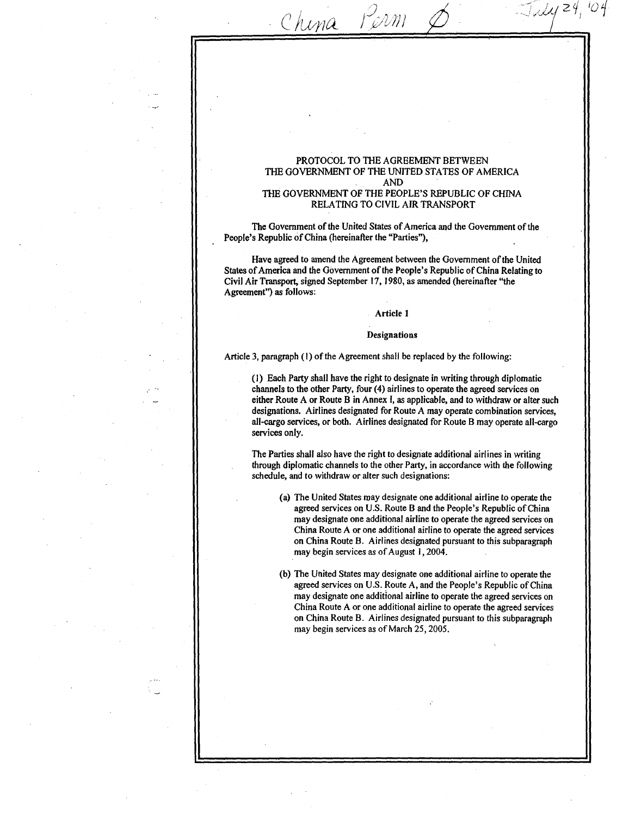# PROTOCOL TO THE AGREEMENT BETWEEN THE GOVERNMENT OF THE UNITED STATES OF AMERICA AND

 $24,04$ 

China Perm

# THE GOVERNMENT OF THE PEOPLE'S REPUBLIC OF CHINA RELATING TO CIVIL AIR TRANSPORT

The Government of the United States of America and the Government of the People's Republic of China (hereinafter the "Parties"),

Have, agreed to amend the Agreement between the Government of the United States of America and the Government of the People's Republic of China Relating to Civil Air Transport, signed September 17, 1980, as amended (hereinafter "the Agreement") as follows :

### Article I

# **Designations**

Article 3, paragraph (1) of the Agreement shall be replaced by the following:

(1) Each Party shall have the right to designate in writing through diplomatic channels to the other Party, four (4) airlines to operate the agreed services on either Route A or Route B in Annex 1, as applicable, and to withdraw or alter such designations. Airlines designated for Route A may operate combination services, all-cargo services, or both. Airlines designated for Route B may operate all-cargo services only.

The Parties shall also have the right to designate additional airlines in writing through diplomatic channels to the other Party, in accordance with the following schedule, and to withdraw or alter such designations :

- (a) The United States may designate one additional airline to operate the agreed services on U.S. Route B and the People's Republic of China may designate one additional airline to operate the agreed services on China Route A or one additional airline to operate the agreed services on China Route B. Airlines designated pursuant to this subparagraph may begin services as of August 1, 2004.
- (b) The United States may designate one additional airline to operate the agreed services on U.S. Route A, and the People's Republic of China may designate one additional airline to operate the agreed services on China Route A or one additional airline to operate the agreed services on China Route B. Airlines designated pursuant to this subparagraph may begin services as of March 25, 2005 .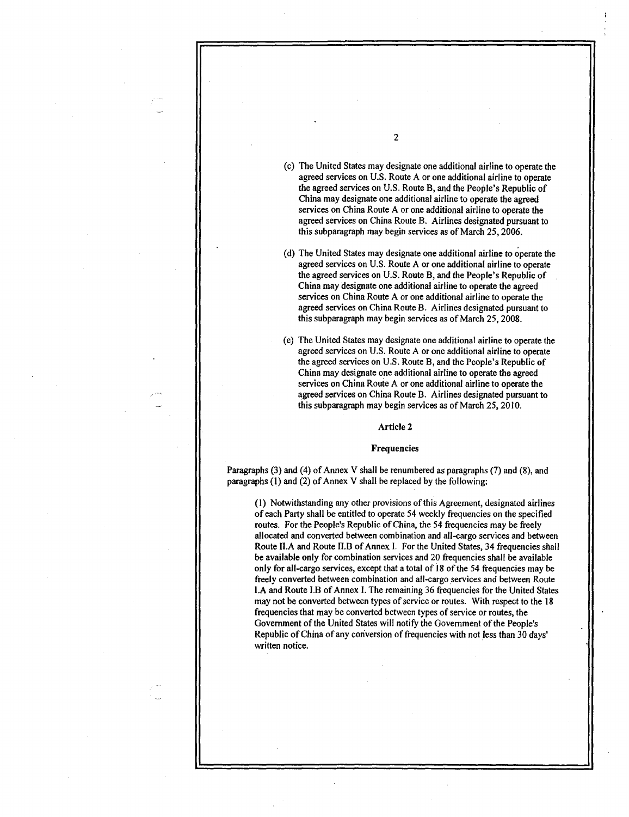(c) The United States may designate one additional airline to operate the agreed services on U.S. Route A or one additional airline to operate the agreed services on U.S . Route B, and the People's Republic of China may designate one additional airline to operate the agreed services on China Route A or one additional airline to operate the agreed services on China Route B. Airlines designated pursuant to this subparagraph may begin services as of March 25, 2006 .

- (d) The United States may designate one additional airline to operate the agreed services on U.S. Route A or one additional airline to operate the agreed services on U.S . Route B, and the People's Republic of China may designate one additional airline to operate the agreed services on China Route A or one additional airline to operate the agreed services on China Route B. Airlines designated pursuant to this subparagraph may begin services as of March 25, 2008.
- (e) The United States may designate one additional airline to operate the agreed services on U.S. Route A or one additional airline to operate the agreed services on U .S . Route B, and the People's Republic of China may designate one additional airline to operate the agreed services on China Route A or one additional airline to operate the agreed services on China Route B. Airlines designated pursuant to this subparagraph may begin services as of March 25, 2010.

Article 2

# Frequencies

Paragraphs (3) and (4) of Annex V shall be renumbered as paragraphs (7) and (8), and paragraphs (1) and (2) of Annex V shall be replaced by the following:

(1) Notwithstanding any other provisions of this Agreement, designated airlines of each Party shall be entitled to operate 54 weekly frequencies on the specified routes. For the People's Republic of China, the 54 frequencies may be freely allocated and converted between combination and all-cargo services and between Route II.A and Route II.B of Annex I. For the United States, 34 frequencies shall be available only for combination services and 20 frequencies shall be available only for all-cargo services, except that a total of 18 of the 54 frequencies may be freely converted between combination and all-cargo services and between Route I.A and Route I.B of Annex I. The remaining 36 frequencies for the United States may not be converted between types of service or routes. With respect to the 18 frequencies that may be converted between types of service or routes, the Government of the United States will notify the Government of the People's Republic of China of any conversion of frequencies with not less than 30 days' written notice.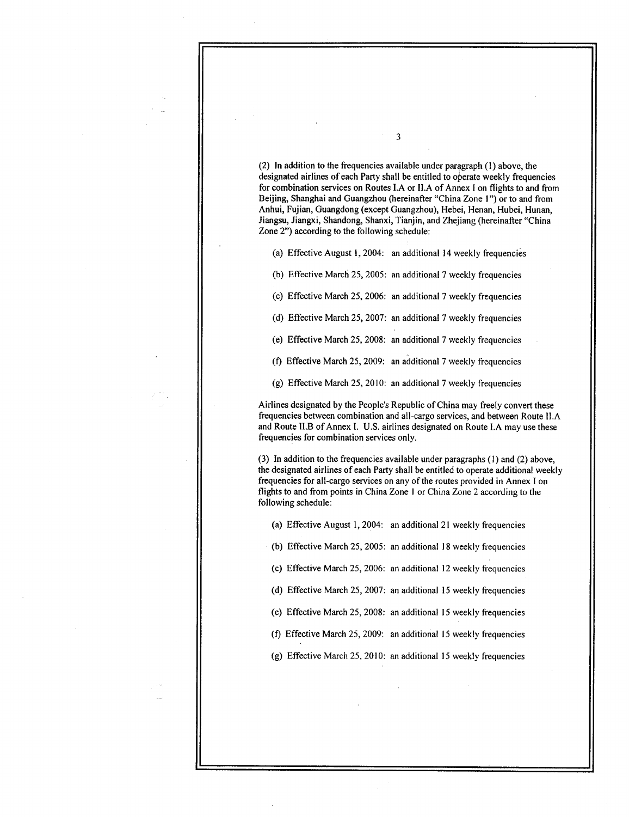(2) In addition to the frequencies available under paragraph (1) above, the designated airlines of each Party shall be entitled to operate weekly frequencies for combination services on Routes LA or ILA of Annex I on flights to and from Beijing, Shanghai and Guangzhou (hereinafter "China Zone 1") or to and from Anhui, Fujian, Guangdong (except Guangzhou), Hebei, Henan, Hubei, Hunan, Jiangsu, Jiangxi, Shandong, Shanxi, Tianjin, and Zhejiang (hereinafter "China Zone 2") according to the following schedule :

3

(a) Effective August 1, 2004: an additional 14 weekly frequencies

(b) Effective March 25, 2005: an additional 7 weekly frequencies

(c) Effective March 25, 2006: an additional 7 weekly frequencies

(d) Effective March 25, 2007: an additional 7 weekly frequencies

(e) Effective March 25, 2008: an additional 7 weekly frequencies

(f) Effective March 25, 2009: an additional 7 weekly frequencies

(g) Effective March 25, 2010: an additional 7 weekly frequencies

Airlines designated by the People's Republic of China may freely convert these frequencies between combination and all-cargo services, and between Route ILA and Route II.B of Annex I. U.S. airlines designated on Route I.A may use these frequencies for combination services only.

(3) In addition to the frequencies available under paragraphs (1) and (2) above, the designated airlines of each Party shall be entitled to operate additional weekly frequencies for all-cargo services on any of the routes provided in Annex I on flights to and from points in China Zone I or China Zone 2 according to the following schedule:

(a) Effective August 1, 2004: an additional 21 weekly frequencies

(b) Effective March 25, 2005 : an additional 18 weekly frequencies

(c) Effective March 25, 2006: an additional 12 weekly frequencies

(a) Effective March 25, 2007: an additional 15 weekly frequencies

(e) Effective March 25, 2008: an additional 15 weekly frequencies

(f) Effective March 25, 2009 : an additional 15 weekly frequencies

(g) Effective March 25, 2010 : an additional 15 weekly frequencies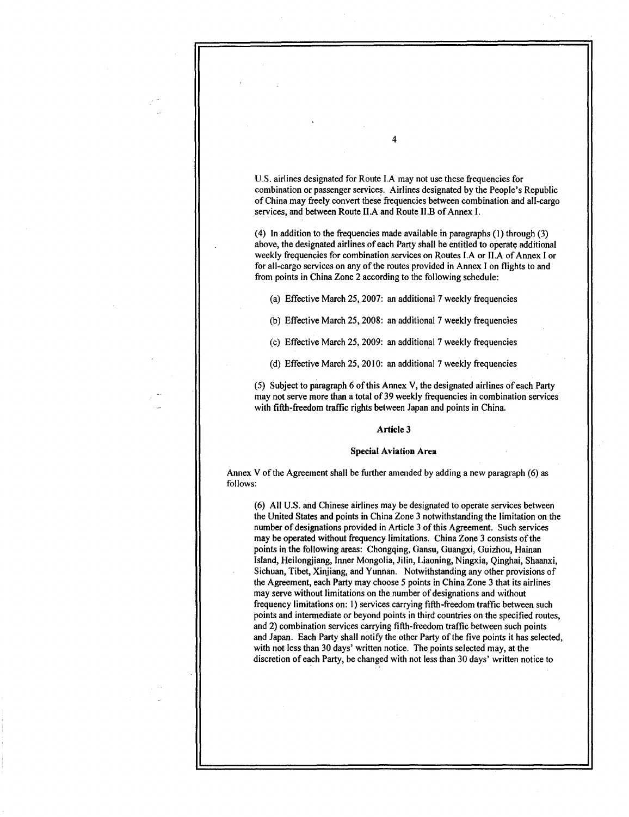U.S. airlines designated for Route I.A may not use these frequencies for combination or passenger services . Airlines designated by the People's Republic of China may freely convert these frequencies between combination and all-cargo services, and between Route II.A and Route II.B of Annex I.

4

(4) In addition to the frequencies made available in paragraphs (1) through (3) above, the designated airlines of each Party shall be entitled to operate additional weekly frequencies for combination services on Routes LA or ILA of Annex I or for all-cargo services on any of the routes provided in Annex I on flights to and from points in China Zone 2 according to the following schedule :

(a) Effective March 25, 2007: an additional 7 weekly frequencies

(b) Effective March 25, 2008: an additional 7 weekly frequencies

(c) Effective March 25, 2009: an additional 7 weekly frequencies

(d) Effective March 25, 2010: an additional 7 weekly frequencies

(5) Subject to paragraph 6 of this Annex V, the designated airlines of each Party may not serve more than a total of 39 weekly frequencies in combination services with fifth-freedom traffic rights between Japan and points in China.

## Article 3

### Special Aviation Area

Annex V of the Agreement shall be further amended by adding a new paragraph (6) as follows:

(6) All U.S. and Chinese airlines may be designated to operate services between the United States and points in China Zone 3 notwithstanding the limitation on the number of designations provided in Article 3 of this Agreement. Such services may be operated without frequency limitations. China Zone 3 consists of the points in the following areas: Chongqing, Gansu, Guangxi, Guizhou, Hainan Island, Heilongjiang, Inner Mongolia, Jilin, Liaoning, Ningxia, Qinghai, Shaanxi, Sichuan, Tibet, Xinjiang, and Yunnan. Notwithstanding any other provisions of the Agreement, each Party may choose 5 points in China Zone 3 that its airlines may serve without limitations on the number of designations and without frequency limitations on: 1) services carrying fifth-freedom traffic between such points and intermediate or beyond points in third countries on the specified routes, and 2) combination services carrying fifth-freedom traffic between such points and Japan. Each Party shall notify the other Party of the five points it has selected, with not less than 30 days' written notice. The points selected may, at the discretion of each Party, be changed with not less than 30 days' written notice to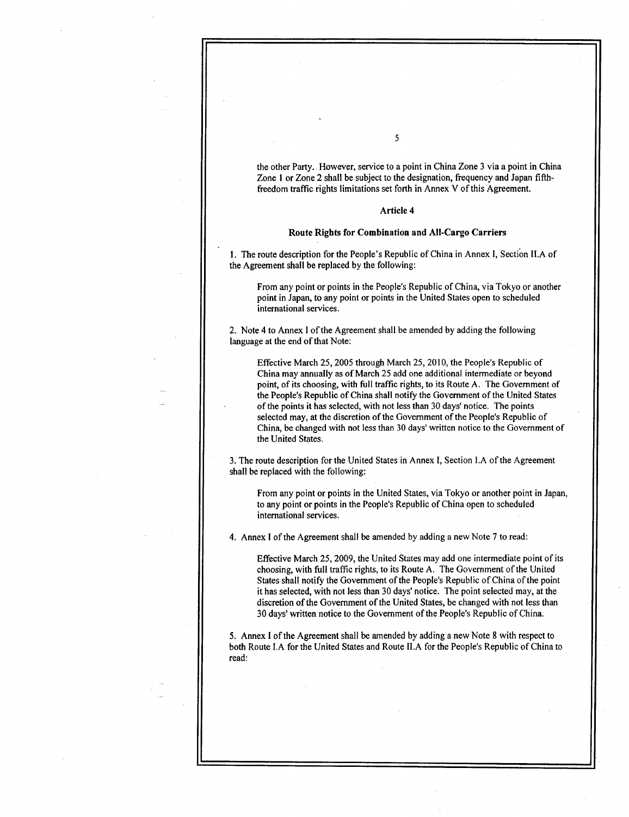the other Party. However, service to a point in China Zone 3 via a point in China Zone I or Zone 2 shall be subject to the designation, frequency and Japan fifthfreedom traffic rights limitations set forth in Annex V of this Agreement.

# Article 4

# Route Rights for Combination and All-Cargo Carriers

1. The route description for the People's Republic of China in Annex I, Section II.A of the Agreement shall be replaced by the following:

From any point or points in the People's Republic of China, via Tokyo or another point in Japan, to any point or points in the United States open to scheduled international services .

2 . Note 4 to Annex I of the Agreement shall be amended by adding the following language at the end of that Note:

Effective March 25, 2005 through March 25, 2010, the People's Republic of China may annually as of March 25 add one additional intermediate or beyond point, of its choosing, with full traffic rights, to its Route A . The Government of the People's Republic of China shall notify the Government of the United States of the points it has selected, with not less than 30 days' notice . The points selected may, at the discretion of the Government of the People's Republic of China, be changed with not less than 30 days' written notice to the Government of the United States .

3 . The route description for the United States in Annex I, Section LA of the Agreement shall be replaced with the following:

From any point or points in the United States, via Tokyo or another point in Japan, to any point or points in the People's Republic of China open to scheduled international services .

4 . Annex I of the Agreement shall be amended by adding a new Note 7 to read :

Effective March 25, 2009, the United States may add one intermediate point of its choosing, with full traffic rights, to its Route A. The Government of the United States shall notify the Government of the People's Republic of China of the point it has selected, with not less than 30 days' notice. The point selected may, at the discretion of the Government of the United States, be changed with not less than 30 days' written notice to the Government of the People's Republic of China .

5 . Annex I of the Agreement shall be amended by adding a new Note 8 with respect to both Route LA for the United States and Route ILA for the People's Republic of China to read: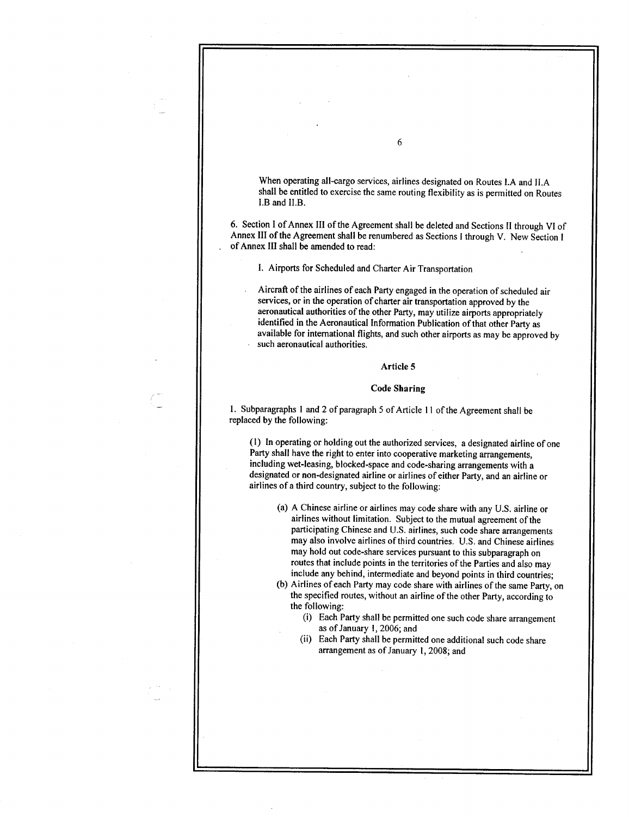When operating all-cargo services, airlines designated on Routes LA and ILA shall be entitled to exercise the same routing flexibility as is permitted on Routes I.B and II.B.

6. Section I of Annex III of the Agreement shall be deleted and Sections 11 through VI of Annex III of the Agreement shall be renumbered as Sections I through V. New Section I of Annex III shall be amended to read:

6

I. Airports for Scheduled and Charter Air Transportation

Aircraft of the airlines of each Party engaged in the operation of scheduled air services, or in the operation of charter air transportation approved by the aeronautical authorities of the other Party, may utilize airports appropriately identified in the Aeronautical Information Publication of that other Party as available for international flights, and such other airports as may be approved by such aeronautical authorities.

# Article 5

# Code Sharing

1 . Subparagraphs I and 2 of paragraph 5 of Article I I of the Agreement shall be replaced by the following:

(1) In operating or holding out the authorized services, a designated airline of one Party shall have the right to enter into cooperative marketing arrangements, including wet-leasing, blocked-space and code-sharing arrangements with a designated or non-designated airline or airlines of either Party, and an airline or airlines of a third country, subject to the following:

(a) A Chinese airline or airlines may code share with any U .S . airline or airlines without limitation. Subject to the mutual agreement of the participating Chinese and U.S . airlines, such code share arrangements may also involve airlines of third countries. U.S. and Chinese airlines may hold out code-share services pursuant to this subparagraph on routes that include points in the territories of the Parties and also may include any behind, intermediate and beyond points in third countries;

(b) Airlines of each Party may code share with airlines of the same Party, on the specified routes, without an airline of the other Party, according to the following:

- (i) Each Party shall be permitted one such code share arrangement as of January 1, 2006; and
- (ii) Each Party shall be permitted one additional such code share arrangement as of January 1, 2008; and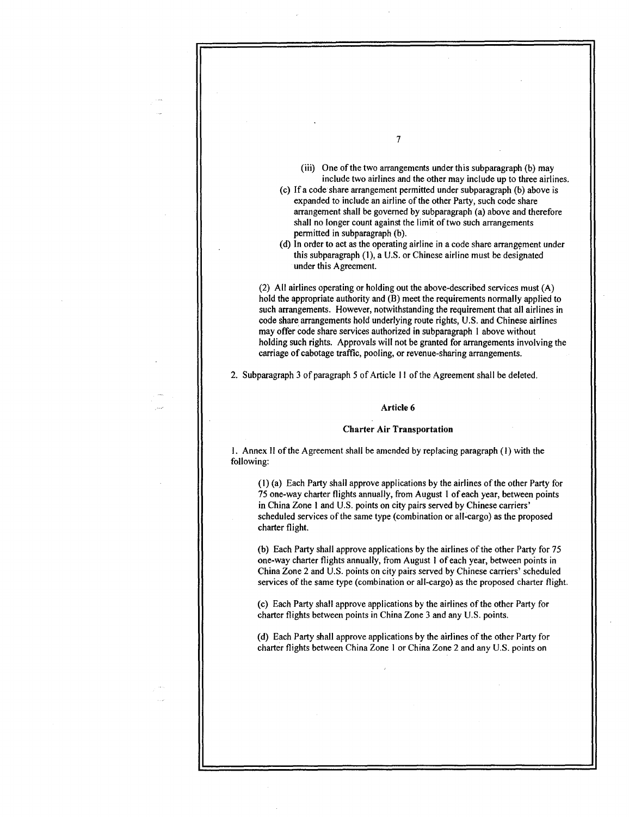(iii) One of the two arrangements under this subparagraph (b) may include two airlines and the other may include up to three airlines.

(c) If a code share arrangement permitted under subparagraph (b) above is expanded to include an airline of the other Party, such code share arrangement shall be governed by subparagraph (a) above and therefore shall no longer count against the limit of two such arrangements permitted in subparagraph (b).

7

(d) In order to act as the operating airline in a code share arrangement under this subparagraph (1), a U.S. or Chinese airline must be designated under this Agreement.

(2) All airlines operating or holding out the above-described services must (A) hold the appropriate authority and (B) meet the requirements normally applied to such arrangements. However, notwithstanding the requirement that all airlines in code share arrangements hold underlying route rights, U .S . and Chinese airlines may offer code share services authorized in subparagraph I above without holding such rights. Approvals will not be granted for arrangements involving the carriage of cabotage traffic, pooling, or revenue-sharing arrangements .

2. Subparagraph 3 of paragraph 5 of Article 11 of the Agreement shall be deleted.

## Article 6

### Charter Air Transportation

<sup>1</sup> . Annex II of the Agreement shall be amended by replacing paragraph (1) with the following:

(1) (a) Each Party shall approve applications by the airlines of the other Party for 75 one-way charter flights annually, from August 1 of each year, between points in China Zone 1 and U.S. points on city pairs served by Chinese carriers' scheduled services of the same type (combination or all-cargo) as the proposed charter flight.

(b) Each Party shall approve applications by the airlines of the other Party for 75 one-way charter flights annually, from August 1 of each year, between points in China Zone 2 and U .S . points on city pairs served by Chinese carriers' scheduled services of the same type (combination or all-cargo) as the proposed charter flight.

(c) Each Party shall approve applications by the airlines of the other Party for charter flights between points in China Zone 3 and any U.S. points.

(d) Each Party shall approve applications by the airlines of the other Party for charter flights between China Zone I or China Zone 2 and any U .S . points on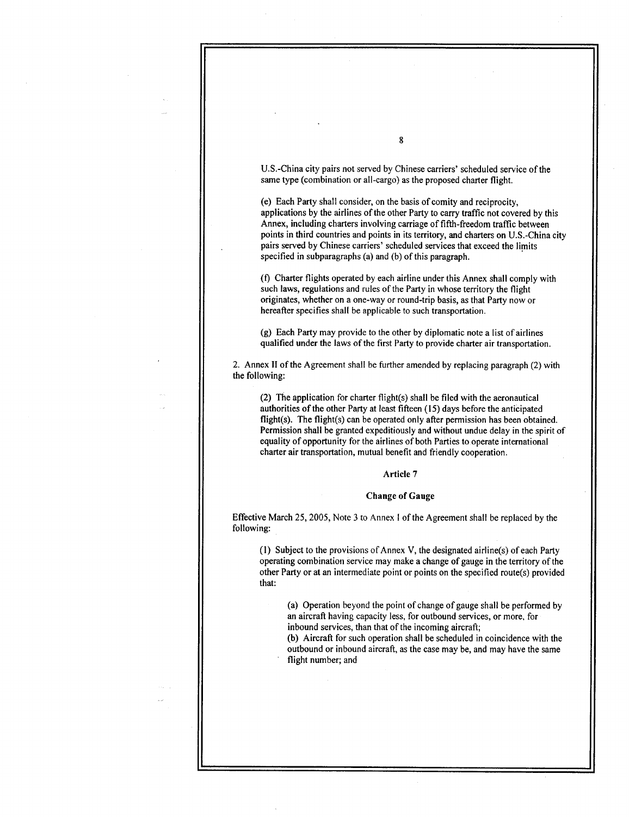U.S .-China city pairs not served by Chinese carriers' scheduled service of the same type (combination or all-cargo) as the proposed charter flight.

(e) Each Party shall consider, on the basis of comity and reciprocity, applications by the airlines of the other Party to carry traffic not covered by this Annex, including charters involving carriage of fifth-freedom traffic between points in third countries and points in its territory, and charters on U.S.-China city pairs served by Chinese carriers' scheduled services that exceed the limits specified in subparagraphs (a) and (b) of this paragraph .

(f) Charter flights operated by each airline under this Annex shall comply with such laws, regulations and rules of the Party in whose territory the flight originates, whether on a one-way or round-trip basis, as that Party now or hereafter specifies shall be applicable to such transportation.

(g) Each Party may provide to the other by diplomatic note a list of airlines qualified under the laws of the first Party to provide charter air transportation .

2. Annex II of the Agreement shall be further amended by replacing paragraph (2) with the following:

(2) The application for charter flight(s) shall be filed with the aeronautical authorities of the other Party at least fifteen (15) days before the anticipated flight(s). The flight(s) can be operated only after permission has been obtained. Permission shall be granted expeditiously and without undue delay in the spirit of equality of opportunity for the airlines of both Parties to operate international charter air transportation, mutual benefit and friendly cooperation .

### Article 7

#### Change of Gauge

Effective March 25, 2005, Note 3 to Annex I of the Agreement shall be replaced by the following:

(1) Subject to the provisions of Annex V, the designated airline(s) of each Party operating combination service may make a change of gauge in the territory of the other Party or at an intermediate point or points on the specified route(s) provided that:

(a) Operation beyond the point of change of gauge shall be performed by an aircraft having capacity less, for outbound services, or more, for inbound services, than that of the incoming aircraft.

(b) Aircraft for such operation shall be scheduled in coincidence with the outbound or inbound aircraft, as the case may be, and may have the same flight number; and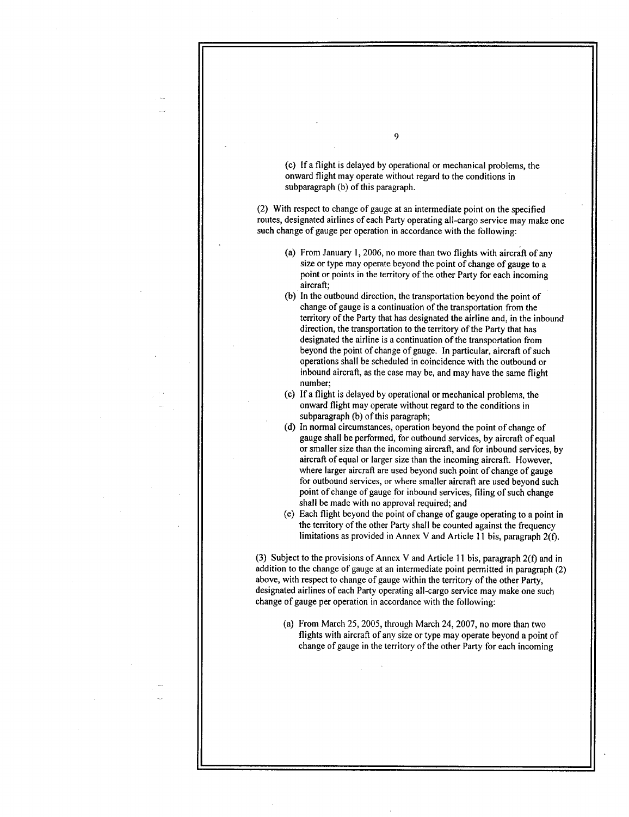(c) If a flight is delayed by operational or mechanical problems, the onward flight may operate without regard to the conditions in subparagraph (b) of this paragraph.

(2) With respect to change of gauge at an intermediate point on the specified routes, designated airlines of each Party operating all-cargo service may make one such change of gauge per operation in accordance with the following:

- (a) From January 1, 2006, no more than two flights with aircraft of any size or type may operate beyond the point of change of gauge to a point or points in the territory of the other Party for each incoming aircraft;
- (b) In the outbound direction, the transportation beyond the point of change of gauge is a continuation of the transportation from the territory of the Party that has designated the airline and, in the inbound direction, the transportation to the territory of the Party that has designated the airline is a continuation of the transportation from beyond the point of change of gauge. In particular, aircraft of such operations shall be scheduled in coincidence with the outbound or inbound aircraft, as the case may be, and may have the same flight number;
- (c) If a flight is delayed by operational or mechanical problems, the onward flight may operate without regard to the conditions in subparagraph (b) of this paragraph;
- (d) In normal circumstances, operation beyond the point of change of gauge shall be performed, for outbound services, by aircraft of equal or smaller size than the incoming aircraft, and for inbound services, by aircraft of equal or larger size than the incoming aircraft. However, where larger aircraft are used beyond such point of change of gauge for outbound services, or where smaller aircraft are used beyond such point of change of gauge for inbound services, filing of such change shall be made with no approval required; and
- (e) Each flight beyond the point of change of gauge operating to a point in the territory of the other Party shall be counted against the frequency limitations as provided in Annex V and Article 11 bis, paragraph  $2(f)$ .

(3) Subject to the provisions of Annex V and Article 11 bis, paragraph 2(f) and in addition to the change of gauge at an intermediate point permitted in paragraph (2) above, with respect to change of gauge within the territory of the other Party, designated airlines of each Party operating all-cargo service may make one such change of gauge per operation in accordance with the following:

(a) From March 25, 2005, through March 24, 2007, no more than two flights with aircraft of any size or type may operate beyond a point of change of gauge in the territory of the other Party for each incoming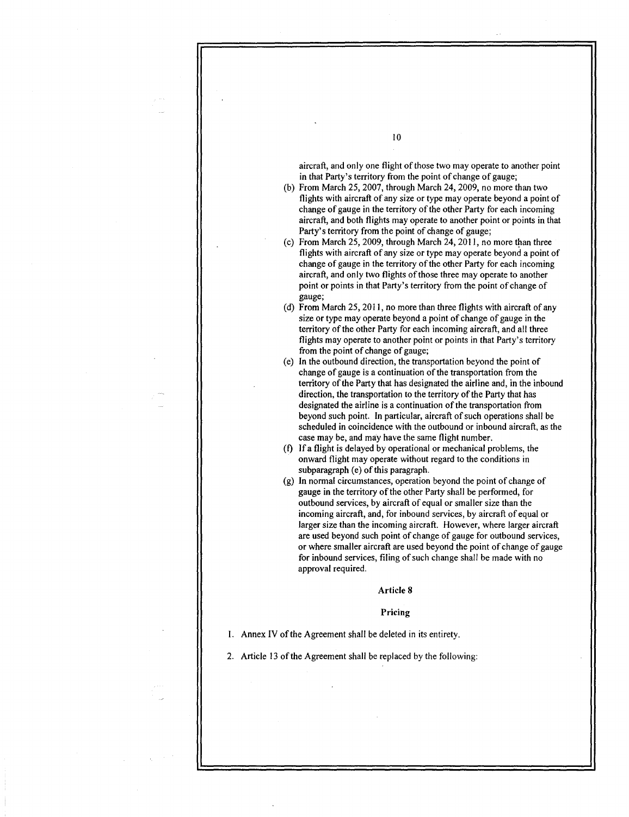aircraft, and only one flight of those two may operate to another point in that Party's territory from the point of change of gauge;

10

- (b) From March 25, 2007, through March 24, 2009, no more than two flights with aircraft of any size or type may operate beyond a point of change of gauge in the territory of the other Party for each incoming aircraft, and both flights may operate to another point or points in that Party's territory from the point of change of gauge;
- (c) From March 25, 2009, through March 24, 2011, no more than three flights with aircraft of any size or type may operate beyond a point of change of gauge in the territory of the other Party for each incoming aircraft, and only two flights of those three may operate to another point or points in that Party's territory from the point of change of gauge;
- (d) From March 25, 2011, no more than three flights with aircraft of any size or type may operate beyond a point of change of gauge in the territory of the other Party for each incoming aircraft, and all three flights may operate to another point or points in that Party's territory from the point of change of gauge;
- (e) In the outbound direction, the transportation beyond the point of change of gauge is a continuation of the transportation from the territory of the Party that has designated the airline and, in the inbound direction, the transportation to the territory of the Party that has designated the airline is a continuation of the transportation from beyond such point. In particular, aircraft of such operations shall be scheduled in coincidence with the outbound or inbound aircraft, as the case may be, and may have the same flight number .
- (f) If a flight is delayed by operational or mechanical problems, the onward flight may operate without regard to the conditions in subparagraph (e) of this paragraph.
- (g) In normal circumstances, operation beyond the point of change of gauge in the territory of the other Party shall be performed, for outbound services, by aircraft of equal or smaller size than the incoming aircraft, and, for inbound services, by aircraft of equal or larger size than the incoming aircraft. However, where larger aircraft are used beyond such point of change of gauge for outbound services, or where smaller aircraft are used beyond the point of change of gauge for inbound services, filing of such change shall be made with no approval required.

Article 8

Pricing

1. Annex IV of the Agreement shall be deleted in its entirety.

2. Article 13 of the Agreement shall be replaced by the following: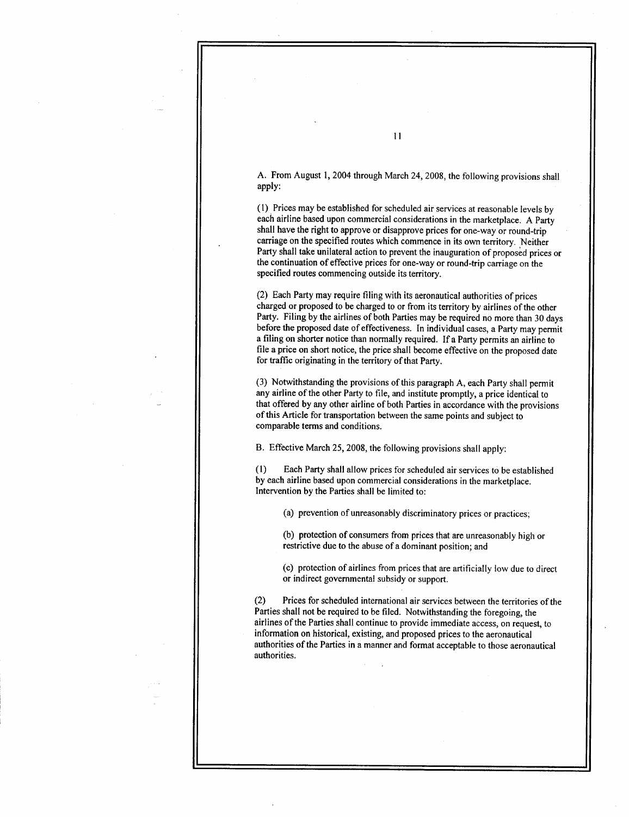A. From August 1, 2004 through March 24, 2008, the following provisions shall apply:

(1) Prices may be established for scheduled air services at reasonable levels by each airline based upon commercial considerations in the marketplace . A Party shall have the right to approve or disapprove prices for one-way or round-trip carriage on the specified routes which commence in its own territory . Neither Party shall take unilateral action to prevent the inauguration of proposed prices or the continuation of effective prices for one-way or round-trip carriage on the specified routes commencing outside its territory.

(2) Each Party may require filing with its aeronautical authorities of prices charged or proposed to be charged to or from its territory by airlines of the other Party. Filing by the airlines of both Parties may be required no more than 30 days before the proposed date of effectiveness. In individual cases, a Party may permit a filing on shorter notice than normally required. If a Party permits an airline to file a price on short notice, the price shall become effective on the proposed date for traffic originating in the territory of that Party.

(3) Notwithstanding the provisions of this paragraph A, each Party shall permit any airline of the other Party to file, and institute promptly, a price identical to that offered by any other airline of both Parties in accordance with the provisions of this Article for transportation between the same points and subject to comparable terms and conditions .

B. Effective March 25, 2008, the following provisions shall apply:

(1) Each Party shall allow prices for scheduled air services to be established by each airline based upon commercial considerations in the marketplace. Intervention by the Parties shall be limited to:

(a) prevention of unreasonably discriminatory prices or practices :

(b) protection of consumers from prices that are unreasonably high or restrictive due to the abuse of a dominant position; and

(c) protection of airlines from prices that are artificially low due to direct or indirect governmental subsidy or support.

(2) Prices for scheduled international air services between the territories of the Parties shall not be required to be filed. Notwithstanding the foregoing, the airlines of the Parties shall continue to provide immediate access, on request, to information on historical, existing, and proposed prices to the aeronautical authorities of the Parties in a manner and format acceptable to those aeronautical authorities .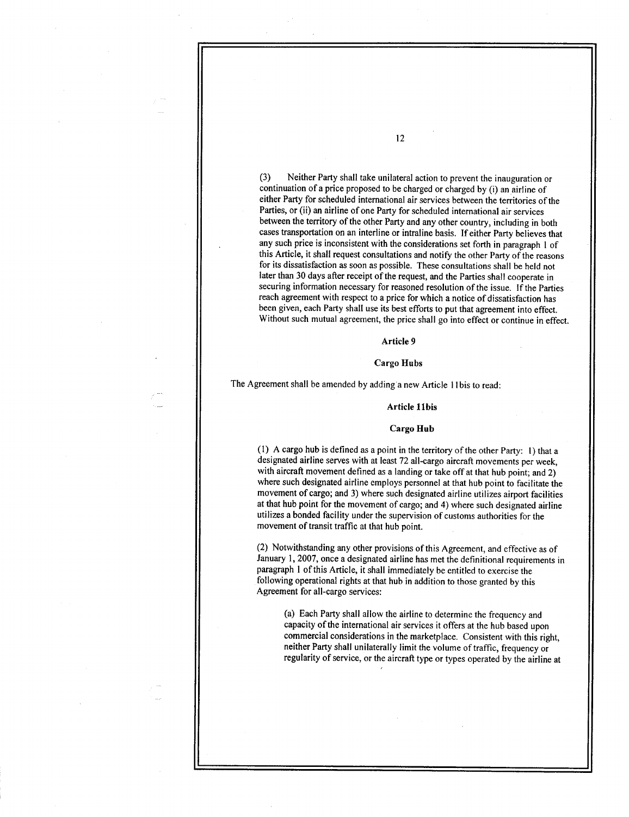(3) Neither Party shall take unilateral action to prevent the inauguration or continuation of a price proposed to be charged or charged by (i) an airline of either Party for scheduled international air services between the territories of the Parties, or (ii) an airline of one Party for scheduled international air services between the territory of the other Party and any other country, including in both cases transportation on an interline or intraline basis . If either Party believes that any such price is inconsistent with the considerations set forth in paragraph I of this Article, it shall request consultations and notify the other Party of the reasons for its dissatisfaction as soon as possible . These consultations shall be held not later than 30 days after receipt of the request, and the Parties shall cooperate in securing information necessary for reasoned resolution of the issue . If the Parties reach agreement with respect to a price for which a notice of dissatisfaction has been given, each Party shall use its best efforts to put that agreement into effect. Without such mutual agreement, the price shall go into effect or continue in effect.

# Article 9

### Cargo Hubs

The Agreement shall be amended by adding a new Article I Ibis to read :

#### Article 11bis

#### Cargo Hub

(1) A cargo hub is defined as a point in the territory of the other Party: 1) that a designated airline serves with at least 72 all-cargo aircraft movements per week, with aircraft movement defined as a landing or take off at that hub point; and 2) where such designated airline employs personnel at that hub point to facilitate the movement of cargo; and 3) where such designated airline utilizes airport facilities at that hub point for the movement of cargo; and 4) where such designated airline utilizes a bonded facility under the supervision of customs authorities for the movement of transit traffic at that hub point.

(2) Notwithstanding any other provisions of this Agreement, and effective as of January 1, 2007, once a designated airline has met the definitional requirements in paragraph I of this Article, it shall immediately be entitled to exercise the following operational rights at that hub in addition to those granted by this Agreement for all-cargo services:

(a) Each Party shall allow the airline to determine the frequency and capacity of the international air services it offers at the hub based upon commercial considerations in the marketplace . Consistent with this right, neither Party shall unilaterally limit the volume of traffic, frequency or regularity of service, or the aircraft type or types operated by the airline at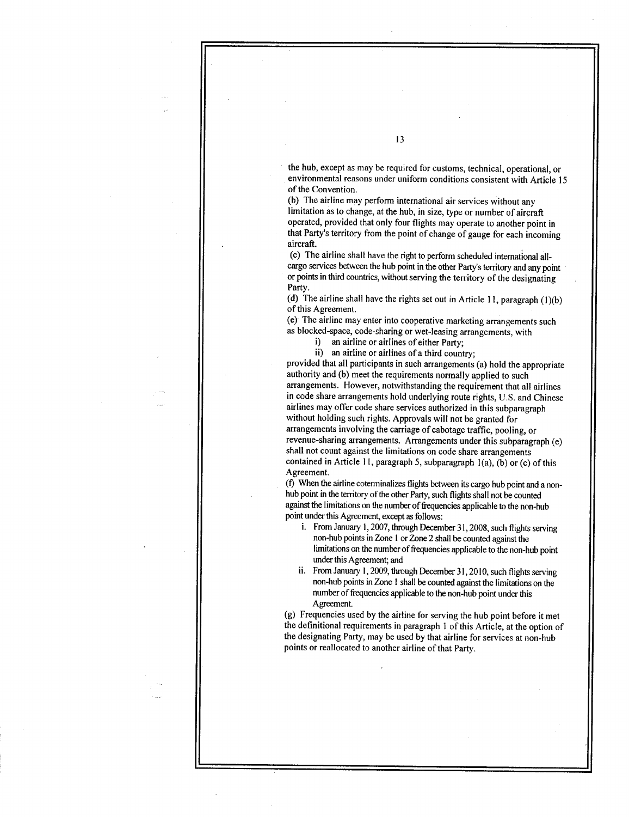the hub, except as may be required for customs, technical, operational, or environmental reasons under uniform conditions consistent with Article 15 of the Convention.

(b) The airline may perform international air services without any limitation as to change, at the hub, in size, type or number of aircraft operated, provided that only four flights may operate to another point in that Party's territory from the point of change of gauge for each incoming aircraft.

(c) The airline shall have the right to perform scheduled international allcargo services between the hub point in the other Party's territory and any point or points in third countries, without serving the territory of the designating Party.

(d) The airline shall have the rights set out in Article 11, paragraph (1)(b) of this Agreement.

(e) The airline may enter into cooperative marketing arrangements such as blocked-space, code-sharing or wet-leasing arrangements, with

i) an airline or airlines of either Party;

ii) an airline or airlines of a third country;

provided that all participants in such arrangements (a) hold the appropriate authority and (b) meet the requirements normally applied to such arrangements. However, notwithstanding the requirement that all airlines in code share arrangements hold underlying route rights, U .S . and Chinese airlines may offer code share services authorized in this subparagraph without holding such rights. Approvals will not be granted for arrangements involving the carriage of cabotage traffic, pooling, or revenue-sharing arrangements. Arrangements under this subparagraph (e) shall not count against the limitations on code share arrangements contained in Article 11, paragraph 5, subparagraph  $1(a)$ ,  $(b)$  or (c) of this Agreement.

(f) When the airline cotemiinalizes flights between its cargo hub point and a nonhub point in the territory of the other Party, such flights shall not be counted against the limitations on the number of frequencies applicable to the non-hub point under this Agreement, except as follows:

- i. From January 1, 2007, through December 31, 2008, such flights serving non-hub points in Zone 1 or Zone 2 shall be counted against the limitations on the number of frequencies applicable to the non-hub point under this Agreement; and
- ii. From January 1, 2009, through December 31, 2010, such flights serving non-hub points in Zone I shall be counted against the limitations on the number of frequencies applicable to the non-hub point under this Agreement

(g) Frequencies used by the airline for serving the hub point before it met the definitional requirements in paragraph I of this Article, at the option of the designating Party, may be used by that airline for services at non-hub points or reallocated to another airline of that Party.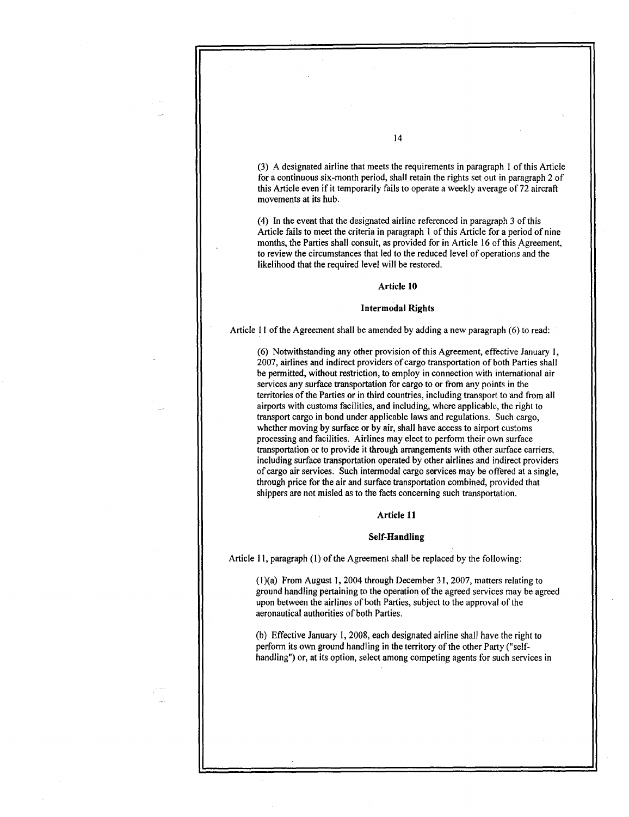(3) A designated airline that meets the requirements in paragraph I of this Article for a continuous six-month period, shall retain the rights set out in paragraph 2 of this Article even if it temporarily fails to operate a weekly average of 72 aircraft movements at its hub.

(4) In the event that the designated airline referenced in paragraph 3 of this Article fails to meet the criteria in paragraph I of this Article for a period of nine months, the Parties shall consult, as provided for in Article 16 of this Agreement, to review the circumstances that led to the reduced level of operations and the likelihood that the required level will be restored.

### Article 10

### Intermodal Rights

Article 11 of the Agreement shall be amended by adding a new paragraph (6) to read :

(6) Notwithstanding any other provision of this Agreement, effective January 1, 2007, airlines and indirect providers of cargo transportation of both Parties shall be permitted, without restriction, to employ in connection with international air services any surface transportation for cargo to or from any points in the territories of the Parties or in third countries, including transport to and from all airports with customs facilities, and including, where applicable, the right to transport cargo in bond under applicable laws and regulations . Such cargo, whether moving by surface or by air, shall have access to airport customs processing and facilities. Airlines may elect to perform their own surface transportation or to provide it through arrangements with other surface carriers, including surface transportation operated by other airlines and indirect providers of cargo air services . Such intermodal cargo services may be offered at a single, through price for the air and surface transportation combined, provided that shippers are not misled as to the facts concerning such transportation .

# Article 11

#### Self-Handling

Article 11, paragraph (1) of the Agreement shall be replaced by the following:

(1)(a) From August 1, 2004 through December 31, 2007, matters relating to ground handling pertaining to the operation of the agreed services may be agreed upon between the airlines of both Parties, subject to the approval of the aeronautical authorities of both Parties .

(b) Effective January 1, 2008, each designated airline shall have the right to perform its own ground handling in the territory of the other Party ("selfhandling") or, at its option, select among competing agents for such services in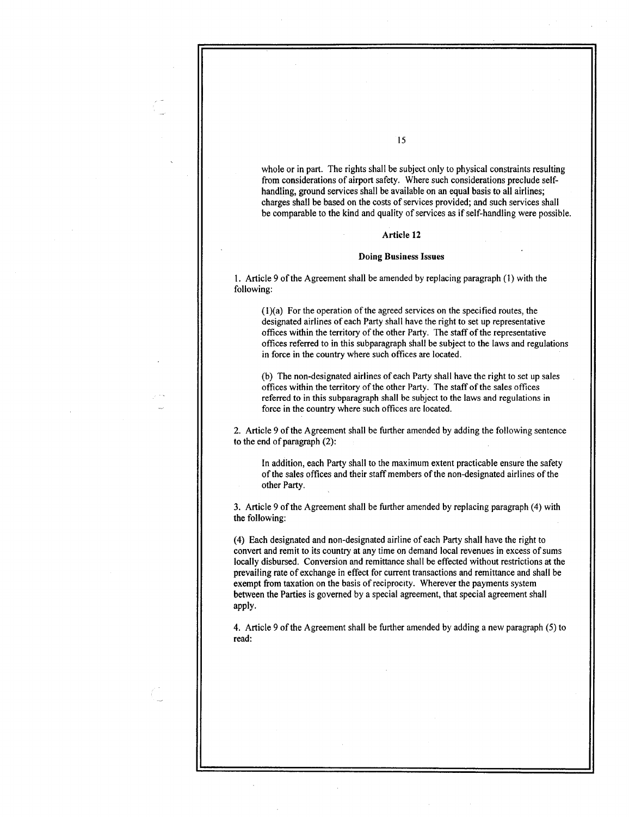whole or in part. The rights shall be subject only to physical constraints resulting from considerations of airport safety. Where such considerations preclude selfhandling, ground services shall be available on an equal basis to all airlines; charges shall be based on the costs of services provided ; and such services shall be comparable to the kind and quality of services as if self-handling were possible .

### Article 12

### Doing Business Issues

<sup>1</sup> . Article 9 of the Agreement shall be amended by replacing paragraph (1) with the following:

(1)(a) For the operation of the agreed services on the specified routes, the designated airlines of each Party shall have the right to set up representative offices within the territory of the other Party . The staff of the representative offices referred to in this subparagraph shall be subject to the laws and regulations in force in the country where such offices are located.

(b) The non-designated airlines of each Party shall have the right to set up sales offices within the territory of the other Party . The staff of the sales offices referred to in this subparagraph shall be subject to the laws and regulations in force in the country where such offices are located.

2 . Article 9 of the Agreement shall be further amended by adding the following sentence to the end of paragraph  $(2)$ :

In addition, each Party shall to the maximum extent practicable ensure the safety of the sales offices and their staff members of the non-designated airlines of the other Party.

3 . Article 9 of the Agreement shall be further amended by replacing paragraph (4) with the following:

(4) Each designated and non-designated airline of each Party shall have the right to convert and remit to its country at any time on demand local revenues in excess of sums locally disbursed. Conversion and remittance shall be effected without restrictions at the prevailing rate of exchange in effect for current transactions and remittance and shall be exempt from taxation on the basis of reciprocity . Wherever the payments system between the Parties is governed by a special agreement, that special agreement shall apply.

4 . Article 9 of the Agreement shall be further amended by adding a new paragraph (5) to read: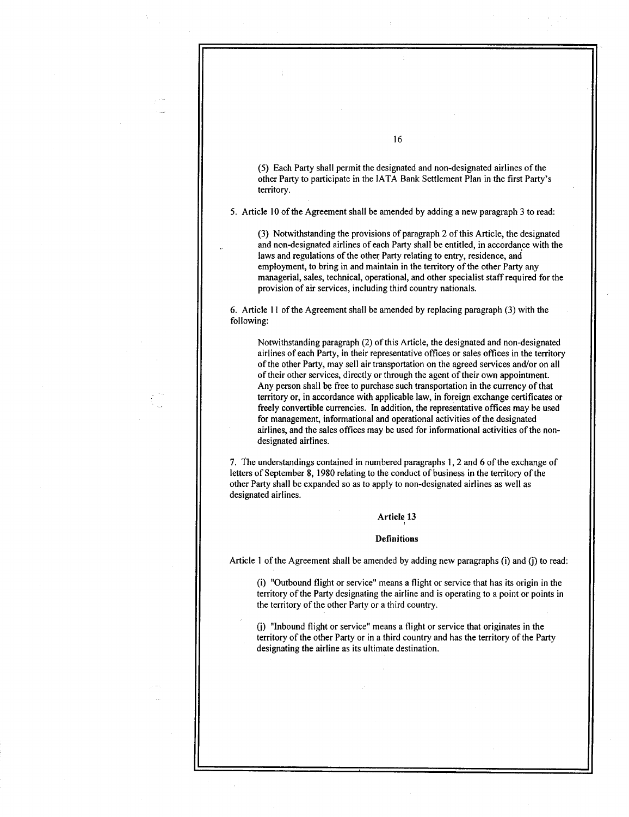(5) Each Party shall permit the designated and non-designated airlines of the other Party to participate in the IATA Bank Settlement Plan in the first Party's territory.

5 . Article 10 of the Agreement shall be amended by adding a new paragraph 3 to read :

(3) Notwithstanding the provisions of paragraph 2 of this Article, the designated and non-designated airlines of each Party shall be entitled, in accordance with the laws and regulations of the other Party relating to entry, residence, and employment, to bring in and maintain in the territory of the other Party any managerial, sales, technical, operational, and other specialist staff required for the provision of air services, including third country nationals .

6 . Article 11 of the Agreement shall be amended by replacing paragraph (3) with the following:

Notwithstanding paragraph (2) of this Article, the designated and non-designated airlines of each Party, in their representative offices or sales offices in the territory of the other Party, may sell air transportation on the agreed services and/or on all of their other services, directly or through the agent of their own appointment. Any person shall be free to purchase such transportation in the currency of that territory or, in accordance with applicable law, in foreign exchange certificates or freely convertible currencies. In addition, the representative offices may be used for management, informational and operational activities of the designated airlines, and the sales offices may be used for informational activities of the nondesignated airlines.

7 . The understandings contained in numbered paragraphs 1, 2 and 6 of the exchange of letters of September 8, 1980 relating to the conduct of business in the territory of the other Party shall be expanded so as to apply to non-designated airlines as well as designated airlines.

# Article 13

### **Definitions**

Article 1 of the Agreement shall be amended by adding new paragraphs (i) and (j) to read:

(i) "Outbound flight or service" means a flight or service that has its origin in the territory of the Party designating the airline and is operating to a point or points in the territory of the other Party or a third country .

0) "Inbound flight or service" means a flight or service that originates in the territory of the other Party or in a third country and has the territory of the Party designating the airline as its ultimate destination.